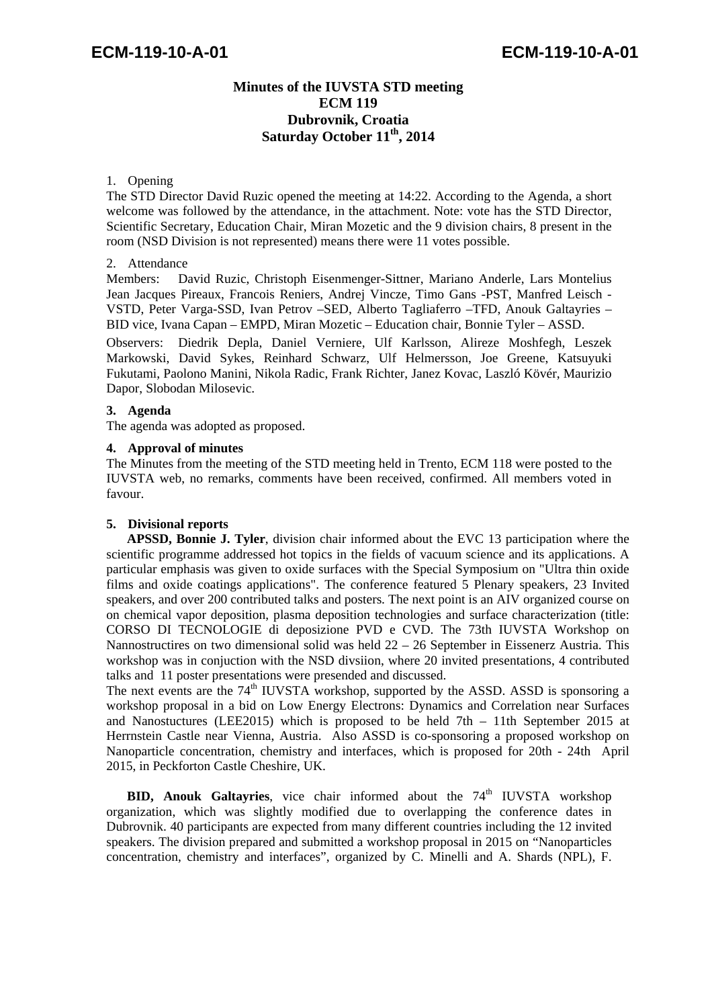### **Minutes of the IUVSTA STD meeting ECM 119 Dubrovnik, Croatia Saturday October 11th, 2014**

### 1. Opening

The STD Director David Ruzic opened the meeting at 14:22. According to the Agenda, a short welcome was followed by the attendance, in the attachment. Note: vote has the STD Director, Scientific Secretary, Education Chair, Miran Mozetic and the 9 division chairs, 8 present in the room (NSD Division is not represented) means there were 11 votes possible.

### 2. Attendance

Members: David Ruzic, Christoph Eisenmenger-Sittner, Mariano Anderle, Lars Montelius Jean Jacques Pireaux, Francois Reniers, Andrej Vincze, Timo Gans -PST, Manfred Leisch - VSTD, Peter Varga-SSD, Ivan Petrov –SED, Alberto Tagliaferro –TFD, Anouk Galtayries – BID vice, Ivana Capan – EMPD, Miran Mozetic – Education chair, Bonnie Tyler – ASSD.

Observers: Diedrik Depla, Daniel Verniere, Ulf Karlsson, Alireze Moshfegh, Leszek Markowski, David Sykes, Reinhard Schwarz, Ulf Helmersson, Joe Greene, Katsuyuki Fukutami, Paolono Manini, Nikola Radic, Frank Richter, Janez Kovac, Laszló Kövér, Maurizio Dapor, Slobodan Milosevic.

### **3. Agenda**

The agenda was adopted as proposed.

### **4. Approval of minutes**

The Minutes from the meeting of the STD meeting held in Trento, ECM 118 were posted to the IUVSTA web, no remarks, comments have been received, confirmed. All members voted in favour.

### **5. Divisional reports**

**APSSD, Bonnie J. Tyler**, division chair informed about the EVC 13 participation where the scientific programme addressed hot topics in the fields of vacuum science and its applications. A particular emphasis was given to oxide surfaces with the Special Symposium on "Ultra thin oxide films and oxide coatings applications". The conference featured 5 Plenary speakers, 23 Invited speakers, and over 200 contributed talks and posters. The next point is an AIV organized course on on chemical vapor deposition, plasma deposition technologies and surface characterization (title: CORSO DI TECNOLOGIE di deposizione PVD e CVD. The 73th IUVSTA Workshop on Nannostructires on two dimensional solid was held 22 – 26 September in Eissenerz Austria. This workshop was in conjuction with the NSD divsiion, where 20 invited presentations, 4 contributed talks and 11 poster presentations were presended and discussed.

The next events are the  $74<sup>th</sup>$  IUVSTA workshop, supported by the ASSD. ASSD is sponsoring a workshop proposal in a bid on Low Energy Electrons: Dynamics and Correlation near Surfaces and Nanostuctures (LEE2015) which is proposed to be held 7th – 11th September 2015 at Herrnstein Castle near Vienna, Austria. Also ASSD is co-sponsoring a proposed workshop on Nanoparticle concentration, chemistry and interfaces, which is proposed for 20th - 24th April 2015, in Peckforton Castle Cheshire, UK.

**BID, Anouk Galtayries**, vice chair informed about the 74<sup>th</sup> IUVSTA workshop organization, which was slightly modified due to overlapping the conference dates in Dubrovnik. 40 participants are expected from many different countries including the 12 invited speakers. The division prepared and submitted a workshop proposal in 2015 on "Nanoparticles concentration, chemistry and interfaces", organized by C. Minelli and A. Shards (NPL), F.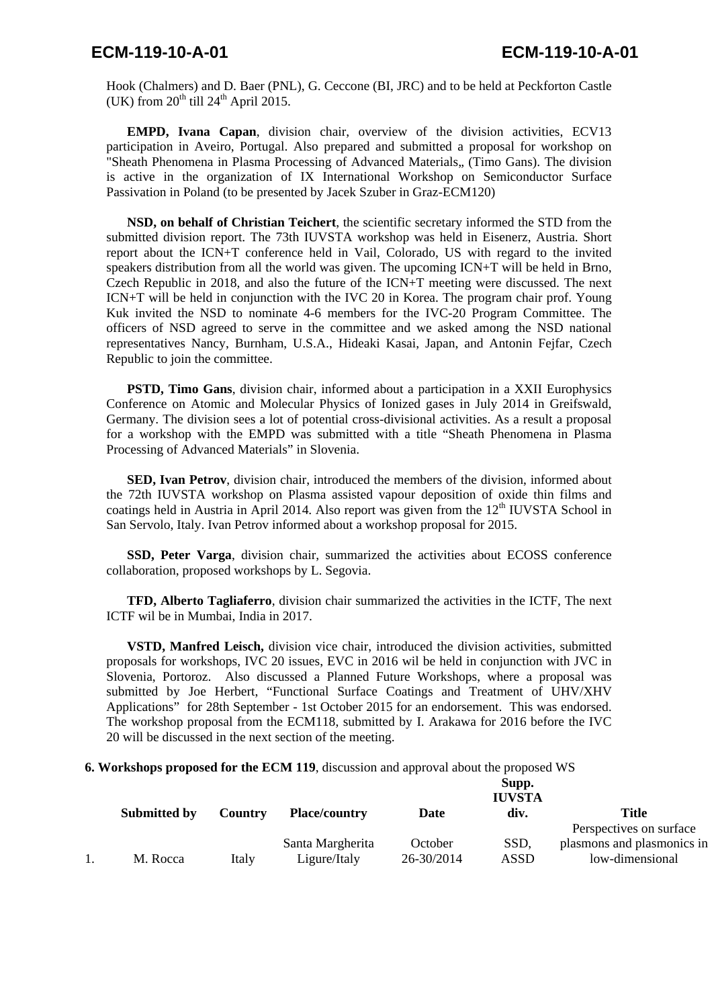## **ECM-119-10-A-01 ECM-119-10-A-01**

Hook (Chalmers) and D. Baer (PNL), G. Ceccone (BI, JRC) and to be held at Peckforton Castle (UK) from  $20^{th}$  till  $24^{th}$  April 2015.

**EMPD, Ivana Capan**, division chair, overview of the division activities, ECV13 participation in Aveiro, Portugal. Also prepared and submitted a proposal for workshop on "Sheath Phenomena in Plasma Processing of Advanced Materials,, (Timo Gans). The division is active in the organization of IX International Workshop on Semiconductor Surface Passivation in Poland (to be presented by Jacek Szuber in Graz-ECM120)

**NSD, on behalf of Christian Teichert**, the scientific secretary informed the STD from the submitted division report. The 73th IUVSTA workshop was held in Eisenerz, Austria. Short report about the ICN+T conference held in Vail, Colorado, US with regard to the invited speakers distribution from all the world was given. The upcoming ICN+T will be held in Brno, Czech Republic in 2018, and also the future of the ICN+T meeting were discussed. The next ICN+T will be held in conjunction with the IVC 20 in Korea. The program chair prof. Young Kuk invited the NSD to nominate 4-6 members for the IVC-20 Program Committee. The officers of NSD agreed to serve in the committee and we asked among the NSD national representatives Nancy, Burnham, U.S.A., Hideaki Kasai, Japan, and Antonin Fejfar, Czech Republic to join the committee.

**PSTD, Timo Gans**, division chair, informed about a participation in a XXII Europhysics Conference on Atomic and Molecular Physics of Ionized gases in July 2014 in Greifswald, Germany. The division sees a lot of potential cross-divisional activities. As a result a proposal for a workshop with the EMPD was submitted with a title "Sheath Phenomena in Plasma Processing of Advanced Materials" in Slovenia.

**SED, Ivan Petrov**, division chair, introduced the members of the division, informed about the 72th IUVSTA workshop on Plasma assisted vapour deposition of oxide thin films and coatings held in Austria in April 2014. Also report was given from the  $12<sup>th</sup>$  IUVSTA School in San Servolo, Italy. Ivan Petrov informed about a workshop proposal for 2015.

**SSD, Peter Varga**, division chair, summarized the activities about ECOSS conference collaboration, proposed workshops by L. Segovia.

**TFD, Alberto Tagliaferro**, division chair summarized the activities in the ICTF, The next ICTF wil be in Mumbai, India in 2017.

**VSTD, Manfred Leisch,** division vice chair, introduced the division activities, submitted proposals for workshops, IVC 20 issues, EVC in 2016 wil be held in conjunction with JVC in Slovenia, Portoroz. Also discussed a Planned Future Workshops, where a proposal was submitted by Joe Herbert, "Functional Surface Coatings and Treatment of UHV/XHV Applications" for 28th September - 1st October 2015 for an endorsement. This was endorsed. The workshop proposal from the ECM118, submitted by I. Arakawa for 2016 before the IVC 20 will be discussed in the next section of the meeting.

**6. Workshops proposed for the ECM 119**, discussion and approval about the proposed WS

|              |         |                      |            | Supp.<br><b>IUVSTA</b> |                            |
|--------------|---------|----------------------|------------|------------------------|----------------------------|
| Submitted by | Country | <b>Place/country</b> | Date       | div.                   | Title                      |
|              |         |                      |            |                        | Perspectives on surface    |
|              |         | Santa Margherita     | October    | SSD,                   | plasmons and plasmonics in |
| M. Rocca     | Italy   | Ligure/Italy         | 26-30/2014 | ASSD                   | low-dimensional            |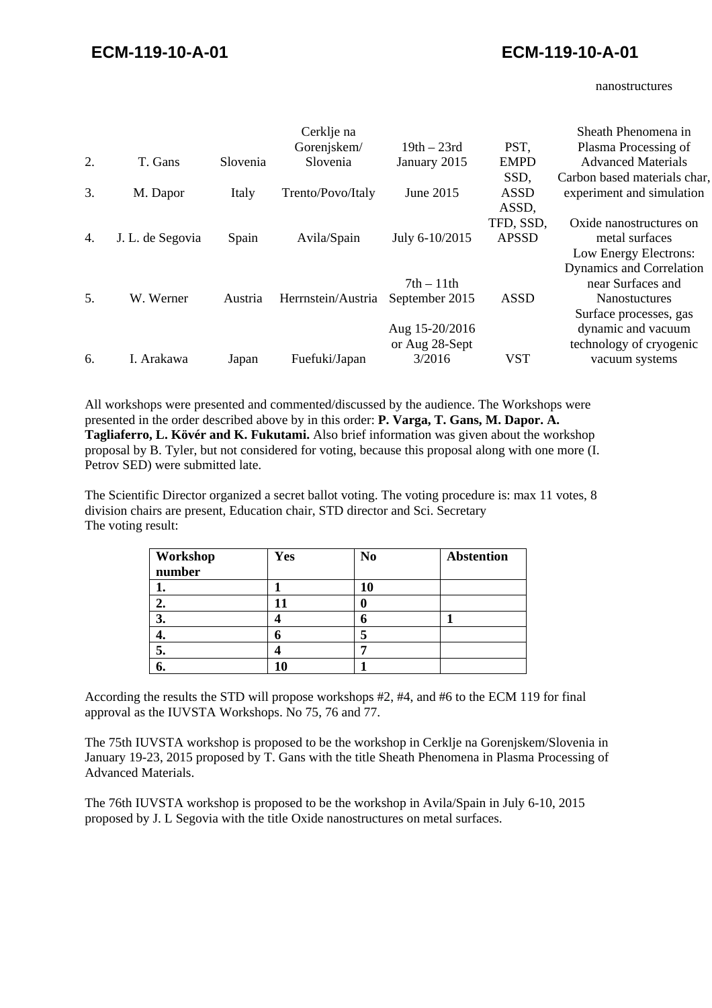nanostructures

|    |                  |          | Cerklje na<br>Gorenjskem/ | $19th - 23rd$  | PST,         | Sheath Phenomena in<br>Plasma Processing of |
|----|------------------|----------|---------------------------|----------------|--------------|---------------------------------------------|
| 2. | T. Gans          | Slovenia | Slovenia                  | January 2015   | <b>EMPD</b>  | <b>Advanced Materials</b>                   |
|    |                  |          |                           |                | SSD,         | Carbon based materials char,                |
| 3. | M. Dapor         | Italy    | Trento/Povo/Italy         | June 2015      | <b>ASSD</b>  | experiment and simulation                   |
|    |                  |          |                           |                | ASSD,        |                                             |
|    |                  |          |                           |                | TFD, SSD,    | Oxide nanostructures on                     |
| 4. | J. L. de Segovia | Spain    | Avila/Spain               | July 6-10/2015 | <b>APSSD</b> | metal surfaces                              |
|    |                  |          |                           |                |              | Low Energy Electrons:                       |
|    |                  |          |                           |                |              | Dynamics and Correlation                    |
|    |                  |          |                           | $7th - 11th$   |              | near Surfaces and                           |
| 5. | W. Werner        | Austria  | Herrnstein/Austria        | September 2015 | <b>ASSD</b>  | <b>Nanostuctures</b>                        |
|    |                  |          |                           |                |              | Surface processes, gas                      |
|    |                  |          |                           | Aug 15-20/2016 |              | dynamic and vacuum                          |
|    |                  |          |                           | or Aug 28-Sept |              | technology of cryogenic                     |
| 6. | I. Arakawa       | Japan    | Fuefuki/Japan             | 3/2016         | <b>VST</b>   | vacuum systems                              |

All workshops were presented and commented/discussed by the audience. The Workshops were presented in the order described above by in this order: **P. Varga, T. Gans, M. Dapor. A. Tagliaferro, L. Kövér and K. Fukutami.** Also brief information was given about the workshop proposal by B. Tyler, but not considered for voting, because this proposal along with one more (I. Petrov SED) were submitted late.

The Scientific Director organized a secret ballot voting. The voting procedure is: max 11 votes, 8 division chairs are present, Education chair, STD director and Sci. Secretary The voting result:

| Workshop | Yes | N <sub>0</sub> | <b>Abstention</b> |
|----------|-----|----------------|-------------------|
| number   |     |                |                   |
|          |     |                |                   |
| ۷.       | 11  |                |                   |
| 3.       |     | U              |                   |
| т.       |     |                |                   |
| 5.       |     |                |                   |
| o.       |     |                |                   |

According the results the STD will propose workshops #2, #4, and #6 to the ECM 119 for final approval as the IUVSTA Workshops. No 75, 76 and 77.

The 75th IUVSTA workshop is proposed to be the workshop in Cerklje na Gorenjskem/Slovenia in January 19-23, 2015 proposed by T. Gans with the title Sheath Phenomena in Plasma Processing of Advanced Materials.

The 76th IUVSTA workshop is proposed to be the workshop in Avila/Spain in July 6-10, 2015 proposed by J. L Segovia with the title Oxide nanostructures on metal surfaces.